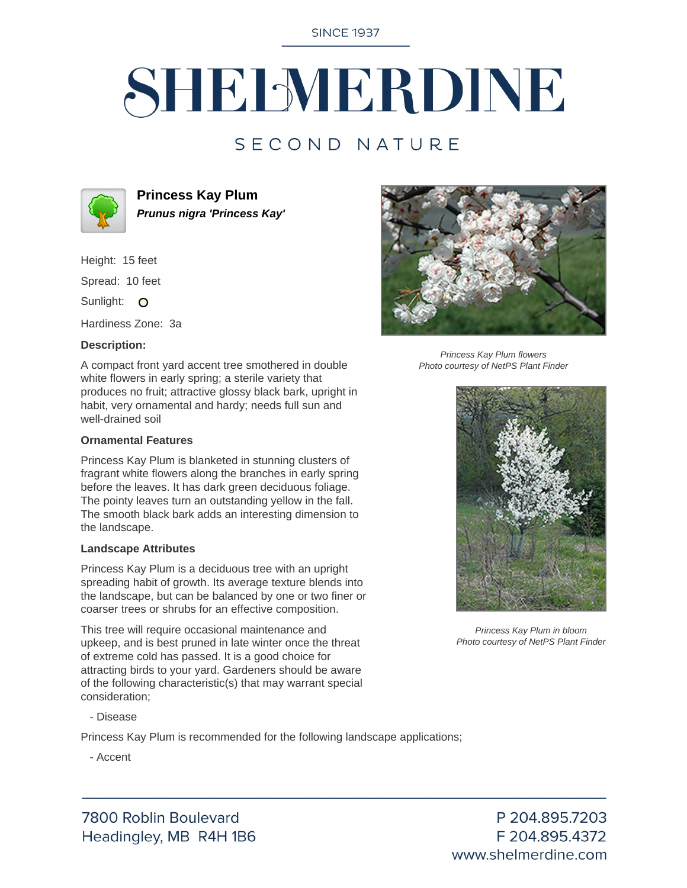**SINCE 1937** 

# SHELMERDINE

### SECOND NATURE



**Princess Kay Plum Prunus nigra 'Princess Kay'**

Height: 15 feet

Spread: 10 feet

Sunlight: O

Hardiness Zone: 3a

#### **Description:**

A compact front yard accent tree smothered in double white flowers in early spring; a sterile variety that produces no fruit; attractive glossy black bark, upright in habit, very ornamental and hardy; needs full sun and well-drained soil

#### **Ornamental Features**

Princess Kay Plum is blanketed in stunning clusters of fragrant white flowers along the branches in early spring before the leaves. It has dark green deciduous foliage. The pointy leaves turn an outstanding yellow in the fall. The smooth black bark adds an interesting dimension to the landscape.

#### **Landscape Attributes**

Princess Kay Plum is a deciduous tree with an upright spreading habit of growth. Its average texture blends into the landscape, but can be balanced by one or two finer or coarser trees or shrubs for an effective composition.

This tree will require occasional maintenance and upkeep, and is best pruned in late winter once the threat of extreme cold has passed. It is a good choice for attracting birds to your yard. Gardeners should be aware of the following characteristic(s) that may warrant special consideration;

- Disease

Princess Kay Plum is recommended for the following landscape applications;

- Accent





Princess Kay Plum flowers Photo courtesy of NetPS Plant Finder



Princess Kay Plum in bloom Photo courtesy of NetPS Plant Finder

P 204.895.7203 F 204.895.4372 www.shelmerdine.com